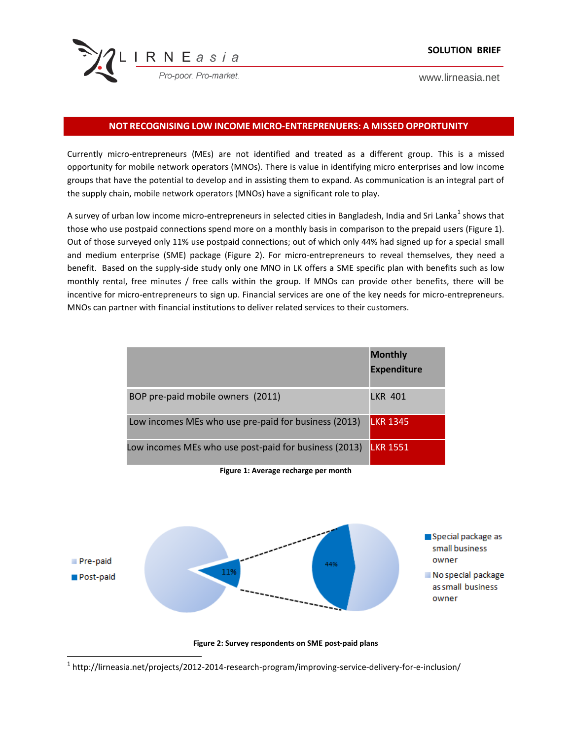

www.lirneasia.net

## **NOT RECOGNISING LOW INCOME MICRO-ENTREPRENUERS: A MISSED OPPORTUNITY**

Currently micro-entrepreneurs (MEs) are not identified and treated as a different group. This is a missed opportunity for mobile network operators (MNOs). There is value in identifying micro enterprises and low income groups that have the potential to develop and in assisting them to expand. As communication is an integral part of the supply chain, mobile network operators (MNOs) have a significant role to play.

A survey of urban low income micro-entrepreneurs in selected cities in Bangladesh, India and Sri Lanka<sup>1</sup> shows that those who use postpaid connections spend more on a monthly basis in comparison to the prepaid users (Figure 1). Out of those surveyed only 11% use postpaid connections; out of which only 44% had signed up for a special small and medium enterprise (SME) package (Figure 2). For micro-entrepreneurs to reveal themselves, they need a benefit. Based on the supply-side study only one MNO in LK offers a SME specific plan with benefits such as low monthly rental, free minutes / free calls within the group. If MNOs can provide other benefits, there will be incentive for micro-entrepreneurs to sign up. Financial services are one of the key needs for micro-entrepreneurs. MNOs can partner with financial institutions to deliver related services to their customers.

|                                                       | <b>Monthly</b><br><b>Expenditure</b> |
|-------------------------------------------------------|--------------------------------------|
| BOP pre-paid mobile owners (2011)                     | LKR 401                              |
| Low incomes MEs who use pre-paid for business (2013)  | <b>LKR 1345</b>                      |
| Low incomes MEs who use post-paid for business (2013) | <b>LKR 1551</b>                      |

**Figure 1: Average recharge per month**



**Figure 2: Survey respondents on SME post-paid plans**

 $^{\text{1}}$  http://lirneasia.net/projects/2012-2014-research-program/improving-service-delivery-for-e-inclusion/

 $\overline{\phantom{a}}$